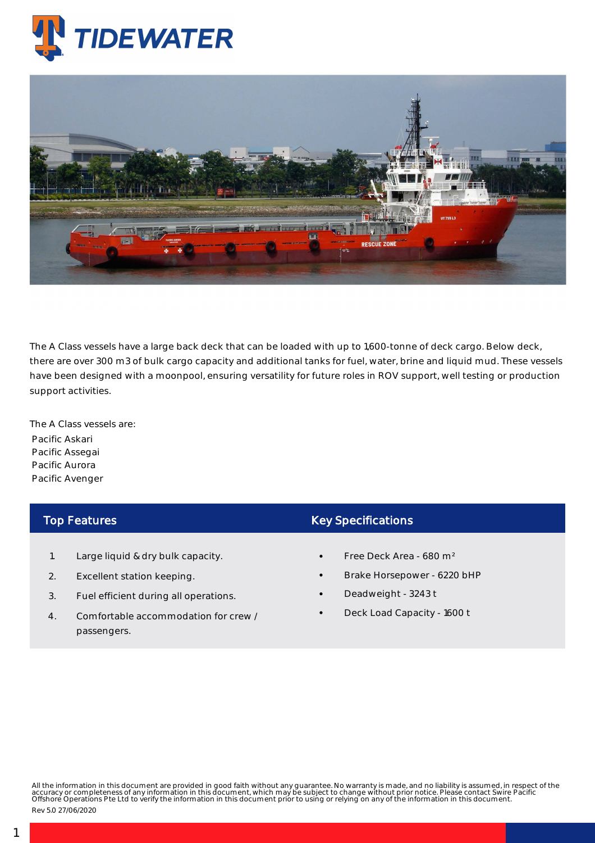

## Platform Supply Vessels - Pacific Aurora

The A Class vessels have a large back deck that can be loaded with up to 1,600-tonne of deck cargo. Below deck, there are over 300 m3 of bulk cargo capacity and additional tanks for fuel, water, brine and liquid mud. These vessels have been designed with a moonpool, ensuring versatility for future roles in ROV support, well testing or production support activities.

The A Class vessels are: Pacific Askari Pacific Assegai Pacific Aurora Pacific Avenger

## Top Features

- 1. Large liquid & dry bulk capacity.
- 2. Excellent station keeping.
- 3. Fuel efficient during all operations.
- 4. Comfortable accommodation for crew / passengers.

## Key Specifications

- Free Deck Area 680 m²
- Brake Horsepower 6220 bHP
- Deadweight 3243 t
- Deck Load Capacity 1600 t

All the information in this document are provided in good faith without any guarantee. No warranty is made, and no liability is assumed, in respect of the<br>accuracy or completeness of any information in this document, which

Rev 5.0 27/06/2020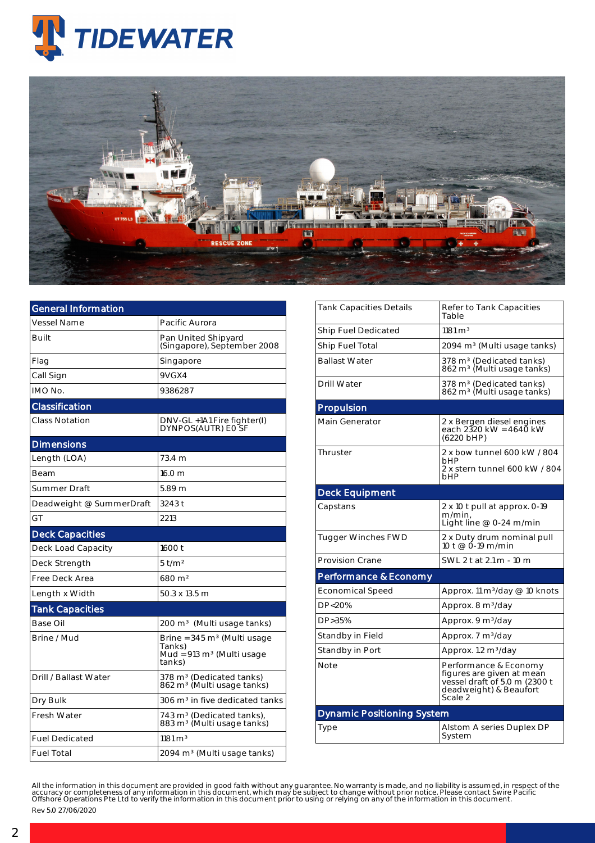



| General Information      |                                                                                                    |  |  |  |  |
|--------------------------|----------------------------------------------------------------------------------------------------|--|--|--|--|
| Vessel Name              | Pacific Aurora                                                                                     |  |  |  |  |
| Built                    | Pan United Shipyard<br>(Singapore), September 2008                                                 |  |  |  |  |
| Flag                     | Singapore                                                                                          |  |  |  |  |
| Call Sign                | 9VGX4                                                                                              |  |  |  |  |
| IMO No.                  | 9386287                                                                                            |  |  |  |  |
| Classification           |                                                                                                    |  |  |  |  |
| Class Notation           | DNV-GL +1A1 Fire fighter(I)<br>DYNPOS(AUTR) EO SF                                                  |  |  |  |  |
| <b>Dimensions</b>        |                                                                                                    |  |  |  |  |
| Length (LOA)             | 73.4 m                                                                                             |  |  |  |  |
| Beam                     | 16.0 m                                                                                             |  |  |  |  |
| <b>Summer Draft</b>      | 5.89 m                                                                                             |  |  |  |  |
| Deadweight @ SummerDraft | 3243 t                                                                                             |  |  |  |  |
| GT                       | 2213                                                                                               |  |  |  |  |
| <b>Deck Capacities</b>   |                                                                                                    |  |  |  |  |
| Deck Load Capacity       | 1600 t                                                                                             |  |  |  |  |
| Deck Strength            | $5$ t/m <sup>2</sup>                                                                               |  |  |  |  |
| Free Deck Area           | $680 \,\mathrm{m}^2$                                                                               |  |  |  |  |
| Length x Width           | 50.3 x 13.5 m                                                                                      |  |  |  |  |
| <b>Tank Capacities</b>   |                                                                                                    |  |  |  |  |
| Base Oil                 | 200 m <sup>3</sup> (Multi usage tanks)                                                             |  |  |  |  |
| Brine / Mud              | Brine = $345 \text{ m}^3$ (Multi usage<br>Tanks)<br>Mud = $913 \text{ m}^3$ (Multi usage<br>tanks) |  |  |  |  |
| Drill / Ballast Water    | 378 m <sup>3</sup> (Dedicated tanks)<br>862 m <sup>3</sup> (Multi usage tanks)                     |  |  |  |  |
| Dry Bulk                 | 306 m <sup>3</sup> in five dedicated tanks                                                         |  |  |  |  |
| <b>Fresh Water</b>       | 743 m <sup>3</sup> (Dedicated tanks),<br>883 m <sup>3</sup> (Multi usage tanks)                    |  |  |  |  |
| <b>Fuel Dedicated</b>    | $1181 \text{ m}^3$                                                                                 |  |  |  |  |
| <b>Fuel Total</b>        | 2094 m <sup>3</sup> (Multi usage tanks)                                                            |  |  |  |  |

| Tank Capacities Details           | Refer to Tank Capacities<br>Table                                                                                        |  |  |  |  |  |
|-----------------------------------|--------------------------------------------------------------------------------------------------------------------------|--|--|--|--|--|
| Ship Fuel Dedicated               | $1181 \text{ m}^3$                                                                                                       |  |  |  |  |  |
| Ship Fuel Total                   | 2094 m <sup>3</sup> (Multi usage tanks)                                                                                  |  |  |  |  |  |
| <b>Ballast Water</b>              | 378 m <sup>3</sup> (Dedicated tanks)<br>862 m <sup>3</sup> (Multi usage tanks)                                           |  |  |  |  |  |
| Drill Water                       | 378 m <sup>3</sup> (Dedicated tanks)<br>862 m <sup>3</sup> (Multi usage tanks)                                           |  |  |  |  |  |
| Propulsion                        |                                                                                                                          |  |  |  |  |  |
| Main Generator                    | 2 x Bergen diesel engines<br>each 2320 kW = 4640 kW<br>(6220 bHP)                                                        |  |  |  |  |  |
| Thruster                          | 2 x bow tunnel 600 kW / 804<br>hHP<br>2 x stern tunnel 600 kW / 804<br>bHP                                               |  |  |  |  |  |
| <b>Deck Equipment</b>             |                                                                                                                          |  |  |  |  |  |
| Capstans                          | 2 x 10 t pull at approx. 0-19<br>m/min,<br>Light line @ 0-24 m/min                                                       |  |  |  |  |  |
| Tugger Winches FWD                | 2 x Duty drum nominal pull<br>10 t @ 0-19 m/min                                                                          |  |  |  |  |  |
| <b>Provision Crane</b>            | SWL 2 t at 2.1 m - 10 m                                                                                                  |  |  |  |  |  |
| Performance & Economy             |                                                                                                                          |  |  |  |  |  |
| <b>Economical Speed</b>           | Approx. 11 m <sup>3</sup> /day @ 10 knots                                                                                |  |  |  |  |  |
| DP<20%                            | Approx. 8 m <sup>3</sup> /day                                                                                            |  |  |  |  |  |
| DP>35%                            | Approx. 9 m <sup>3</sup> /day                                                                                            |  |  |  |  |  |
| Standby in Field                  | Approx. 7 m <sup>3</sup> /day                                                                                            |  |  |  |  |  |
| Standby in Port                   | Approx. 1.2 m <sup>3</sup> /day                                                                                          |  |  |  |  |  |
| Note                              | Performance & Economy<br>figures are given at mean<br>vessel draft of 5.0 m (2300 t<br>deadweight) & Beaufort<br>Scale 2 |  |  |  |  |  |
| <b>Dynamic Positioning System</b> |                                                                                                                          |  |  |  |  |  |
| Type                              | Alstom A series Duplex DP<br>System                                                                                      |  |  |  |  |  |

All the information in this document are provided in good faith without any guarantee. No warranty is made, and no liability is assumed, in respect of the<br>accuracy or completeness of any information in this document, which Rev 5.0 27/06/2020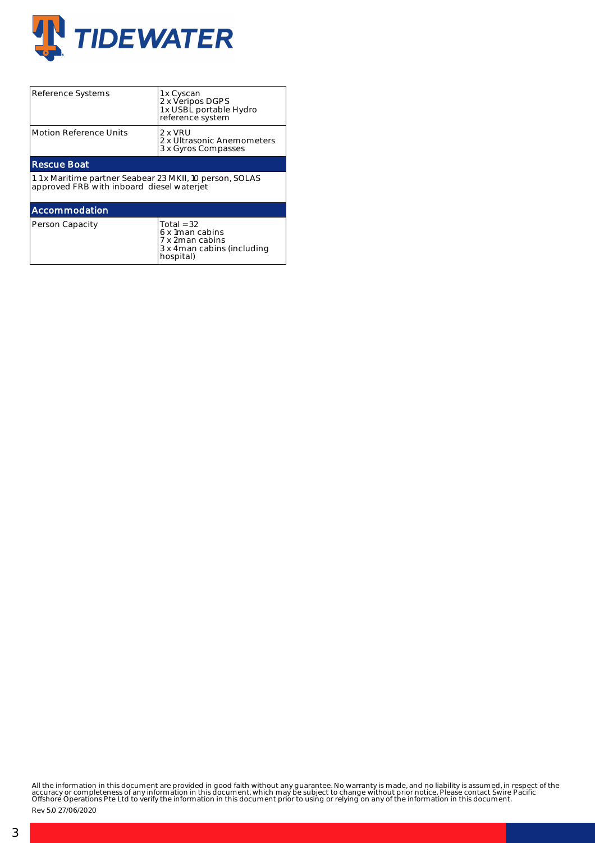

| Reference Systems                                                                                     | 1 x Cyscan<br>2 x Veripos DGPS<br>1 x USBL portable Hydro<br>reference system                   |  |  |  |  |  |  |
|-------------------------------------------------------------------------------------------------------|-------------------------------------------------------------------------------------------------|--|--|--|--|--|--|
| Motion Reference Units                                                                                | 2 x VRU<br>2 x Ultrasonic Anemometers<br>3 x Gyros Compasses                                    |  |  |  |  |  |  |
| <b>Rescue Boat</b>                                                                                    |                                                                                                 |  |  |  |  |  |  |
| 1.1 x Maritime partner Seabear 23 MKII, 10 person, SOLAS<br>approved FRB with inboard diesel waterjet |                                                                                                 |  |  |  |  |  |  |
| Accommodation                                                                                         |                                                                                                 |  |  |  |  |  |  |
| Person Capacity                                                                                       | Total = $32$<br>6 x 1 man cabins<br>7 x 2man cabins<br>3 x 4 man cabins (including<br>hospital) |  |  |  |  |  |  |

All the information in this document are provided in good faith without any guarantee. No warranty is made, and no liability is assumed, in respect of the<br>accuracy or completeness of any information in this document, which

Rev 5.0 27/06/2020